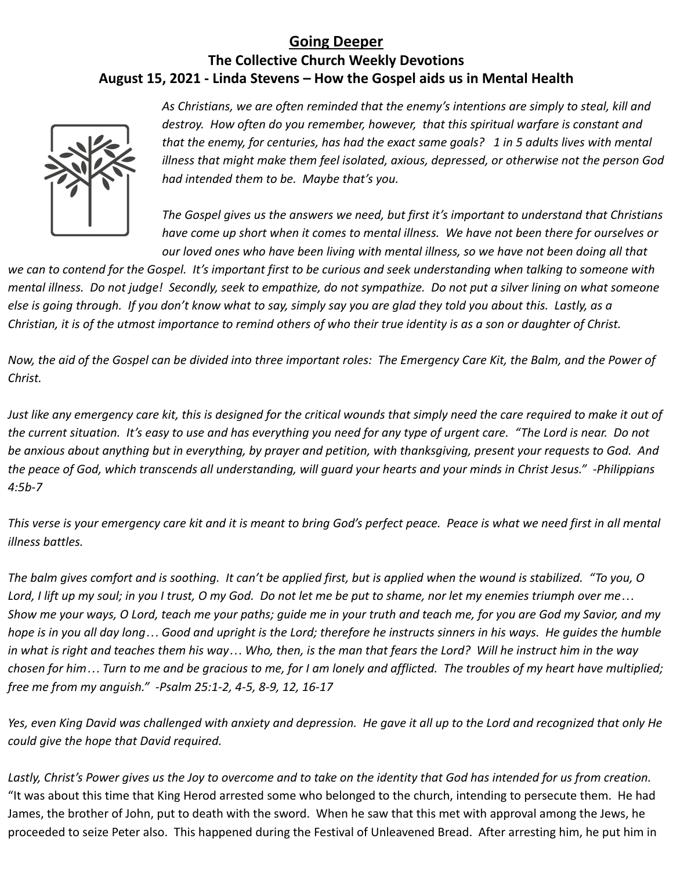## **Going Deeper The Collective Church Weekly Devotions August 15, 2021 - Linda Stevens – How the Gospel aids us in Mental Health**



*As Christians, we are often reminded that the enemy's intentions are simply to steal, kill and destroy. How often do you remember, however, that this spiritual warfare is constant and that the enemy, for centuries, has had the exact same goals? 1 in 5 adults lives with mental illness that might make them feel isolated, axious, depressed, or otherwise not the person God had intended them to be. Maybe that's you.*

*The Gospel gives us the answers we need, but first it's important to understand that Christians have come up short when it comes to mental illness. We have not been there for ourselves or our loved ones who have been living with mental illness, so we have not been doing all that*

*we can to contend for the Gospel. It's important first to be curious and seek understanding when talking to someone with mental illness. Do not judge! Secondly, seek to empathize, do not sympathize. Do not put a silver lining on what someone else is going through. If you don't know what to say, simply say you are glad they told you about this. Lastly, as a Christian, it is of the utmost importance to remind others of who their true identity is as a son or daughter of Christ.*

*Now, the aid of the Gospel can be divided into three important roles: The Emergency Care Kit, the Balm, and the Power of Christ.*

*Just like any emergency care kit, this is designed for the critical wounds that simply need the care required to make it out of the current situation. It's easy to use and has everything you need for any type of urgent care. "The Lord is near. Do not be anxious about anything but in everything, by prayer and petition, with thanksgiving, present your requests to God. And the peace of God, which transcends all understanding, will guard your hearts and your minds in Christ Jesus." -Philippians 4:5b-7*

*This verse is your emergency care kit and it is meant to bring God's perfect peace. Peace is what we need first in all mental illness battles.*

*The balm gives comfort and is soothing. It can't be applied first, but is applied when the wound is stabilized. "To you, O Lord, I lift up my soul; in you I trust, O my God. Do not let me be put to shame, nor let my enemies triumph over me… Show me your ways, O Lord, teach me your paths; guide me in your truth and teach me, for you are God my Savior, and my hope is in you all day long… Good and upright is the Lord; therefore he instructs sinners in his ways. He guides the humble in what is right and teaches them his way… Who, then, is the man that fears the Lord? Will he instruct him in the way chosen for him… Turn to me and be gracious to me, for I am lonely and afflicted. The troubles of my heart have multiplied; free me from my anguish." -Psalm 25:1-2, 4-5, 8-9, 12, 16-17*

*Yes, even King David was challenged with anxiety and depression. He gave it all up to the Lord and recognized that only He could give the hope that David required.*

*Lastly, Christ's Power gives us the Joy to overcome and to take on the identity that God has intended for us from creation.* "It was about this time that King Herod arrested some who belonged to the church, intending to persecute them. He had James, the brother of John, put to death with the sword. When he saw that this met with approval among the Jews, he proceeded to seize Peter also. This happened during the Festival of Unleavened Bread. After arresting him, he put him in